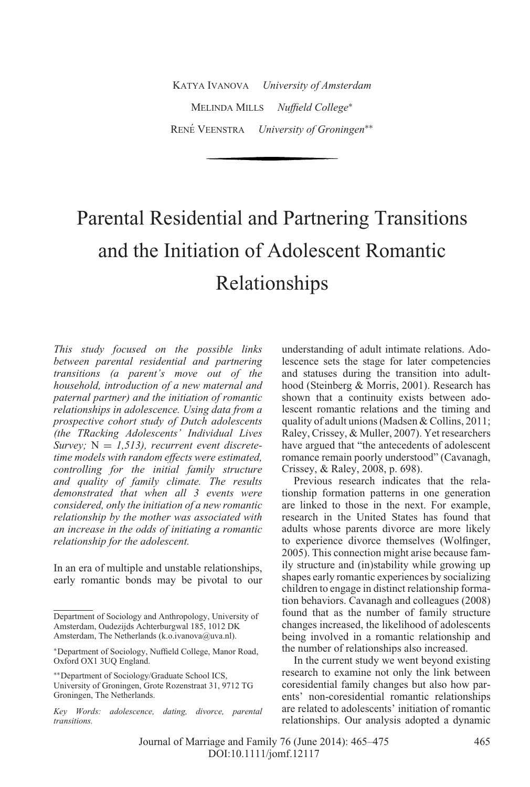KATYA IVANOVA *University of Amsterdam* MELINDA MILLS *Nuffield College*∗ RENE´ VEENSTRA *University of Groningen*∗∗

# Parental Residential and Partnering Transitions and the Initiation of Adolescent Romantic Relationships

*This study focused on the possible links between parental residential and partnering transitions (a parent's move out of the household, introduction of a new maternal and paternal partner) and the initiation of romantic relationships in adolescence. Using data from a prospective cohort study of Dutch adolescents (the TRacking Adolescents' Individual Lives Survey;* N = *1,513), recurrent event discretetime models with random effects were estimated, controlling for the initial family structure and quality of family climate. The results demonstrated that when all 3 events were considered, only the initiation of a new romantic relationship by the mother was associated with an increase in the odds of initiating a romantic relationship for the adolescent.*

In an era of multiple and unstable relationships, early romantic bonds may be pivotal to our

*Key Words: adolescence, dating, divorce, parental transitions.*

understanding of adult intimate relations. Adolescence sets the stage for later competencies and statuses during the transition into adulthood (Steinberg & Morris, 2001). Research has shown that a continuity exists between adolescent romantic relations and the timing and quality of adult unions (Madsen & Collins, 2011; Raley, Crissey, & Muller, 2007). Yet researchers have argued that "the antecedents of adolescent romance remain poorly understood" (Cavanagh, Crissey, & Raley, 2008, p. 698).

Previous research indicates that the relationship formation patterns in one generation are linked to those in the next. For example, research in the United States has found that adults whose parents divorce are more likely to experience divorce themselves (Wolfinger, 2005). This connection might arise because family structure and (in)stability while growing up shapes early romantic experiences by socializing children to engage in distinct relationship formation behaviors. Cavanagh and colleagues (2008) found that as the number of family structure changes increased, the likelihood of adolescents being involved in a romantic relationship and the number of relationships also increased.

In the current study we went beyond existing research to examine not only the link between coresidential family changes but also how parents' non-coresidential romantic relationships are related to adolescents' initiation of romantic relationships. Our analysis adopted a dynamic

Department of Sociology and Anthropology, University of Amsterdam, Oudezijds Achterburgwal 185, 1012 DK Amsterdam, The Netherlands (k.o.ivanova@uva.nl).

<sup>∗</sup>Department of Sociology, Nuffield College, Manor Road, Oxford OX1 3UQ England.

<sup>∗∗</sup>Department of Sociology/Graduate School ICS, University of Groningen, Grote Rozenstraat 31, 9712 TG Groningen, The Netherlands.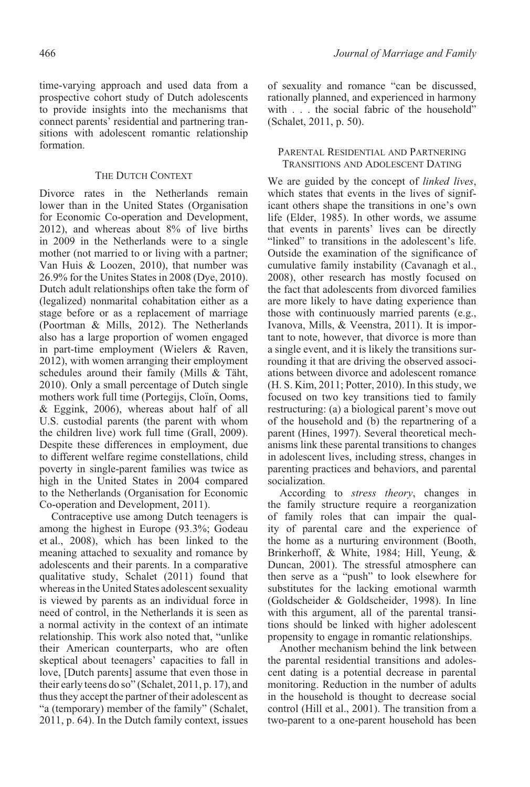time-varying approach and used data from a prospective cohort study of Dutch adolescents to provide insights into the mechanisms that connect parents' residential and partnering transitions with adolescent romantic relationship formation.

## THE DUTCH CONTEXT

Divorce rates in the Netherlands remain lower than in the United States (Organisation for Economic Co-operation and Development, 2012), and whereas about 8% of live births in 2009 in the Netherlands were to a single mother (not married to or living with a partner; Van Huis & Loozen, 2010), that number was 26.9% for the Unites States in 2008 (Dye, 2010). Dutch adult relationships often take the form of (legalized) nonmarital cohabitation either as a stage before or as a replacement of marriage (Poortman & Mills, 2012). The Netherlands also has a large proportion of women engaged in part-time employment (Wielers & Raven, 2012), with women arranging their employment schedules around their family (Mills  $&$  Täht, 2010). Only a small percentage of Dutch single mothers work full time (Portegijs, Cloïn, Ooms, & Eggink, 2006), whereas about half of all U.S. custodial parents (the parent with whom the children live) work full time (Grall, 2009). Despite these differences in employment, due to different welfare regime constellations, child poverty in single-parent families was twice as high in the United States in 2004 compared to the Netherlands (Organisation for Economic Co-operation and Development, 2011).

Contraceptive use among Dutch teenagers is among the highest in Europe (93.3%; Godeau et al., 2008), which has been linked to the meaning attached to sexuality and romance by adolescents and their parents. In a comparative qualitative study, Schalet (2011) found that whereas in the United States adolescent sexuality is viewed by parents as an individual force in need of control, in the Netherlands it is seen as a normal activity in the context of an intimate relationship. This work also noted that, "unlike their American counterparts, who are often skeptical about teenagers' capacities to fall in love, [Dutch parents] assume that even those in their early teens do so" (Schalet, 2011, p. 17), and thus they accept the partner of their adolescent as "a (temporary) member of the family" (Schalet, 2011, p. 64). In the Dutch family context, issues of sexuality and romance "can be discussed, rationally planned, and experienced in harmony with . . . the social fabric of the household" (Schalet, 2011, p. 50).

## PARENTAL RESIDENTIAL AND PARTNERING TRANSITIONS AND ADOLESCENT DATING

We are guided by the concept of *linked lives*, which states that events in the lives of significant others shape the transitions in one's own life (Elder, 1985). In other words, we assume that events in parents' lives can be directly "linked" to transitions in the adolescent's life. Outside the examination of the significance of cumulative family instability (Cavanagh et al., 2008), other research has mostly focused on the fact that adolescents from divorced families are more likely to have dating experience than those with continuously married parents (e.g., Ivanova, Mills, & Veenstra, 2011). It is important to note, however, that divorce is more than a single event, and it is likely the transitions surrounding it that are driving the observed associations between divorce and adolescent romance (H. S. Kim, 2011; Potter, 2010). In this study, we focused on two key transitions tied to family restructuring: (a) a biological parent's move out of the household and (b) the repartnering of a parent (Hines, 1997). Several theoretical mechanisms link these parental transitions to changes in adolescent lives, including stress, changes in parenting practices and behaviors, and parental socialization.

According to *stress theory*, changes in the family structure require a reorganization of family roles that can impair the quality of parental care and the experience of the home as a nurturing environment (Booth, Brinkerhoff, & White, 1984; Hill, Yeung, & Duncan, 2001). The stressful atmosphere can then serve as a "push" to look elsewhere for substitutes for the lacking emotional warmth (Goldscheider & Goldscheider, 1998). In line with this argument, all of the parental transitions should be linked with higher adolescent propensity to engage in romantic relationships.

Another mechanism behind the link between the parental residential transitions and adolescent dating is a potential decrease in parental monitoring. Reduction in the number of adults in the household is thought to decrease social control (Hill et al., 2001). The transition from a two-parent to a one-parent household has been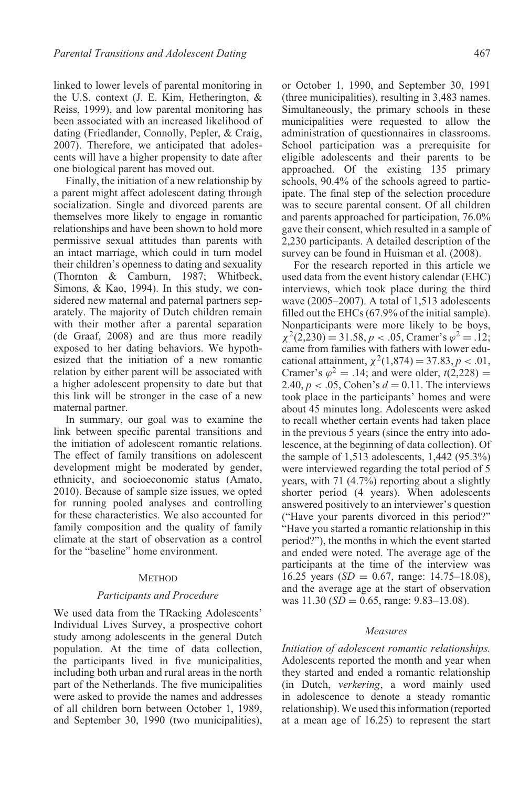linked to lower levels of parental monitoring in the U.S. context (J. E. Kim, Hetherington, & Reiss, 1999), and low parental monitoring has been associated with an increased likelihood of dating (Friedlander, Connolly, Pepler, & Craig, 2007). Therefore, we anticipated that adolescents will have a higher propensity to date after one biological parent has moved out.

Finally, the initiation of a new relationship by a parent might affect adolescent dating through socialization. Single and divorced parents are themselves more likely to engage in romantic relationships and have been shown to hold more permissive sexual attitudes than parents with an intact marriage, which could in turn model their children's openness to dating and sexuality (Thornton & Camburn, 1987; Whitbeck, Simons, & Kao, 1994). In this study, we considered new maternal and paternal partners separately. The majority of Dutch children remain with their mother after a parental separation (de Graaf, 2008) and are thus more readily exposed to her dating behaviors. We hypothesized that the initiation of a new romantic relation by either parent will be associated with a higher adolescent propensity to date but that this link will be stronger in the case of a new maternal partner.

In summary, our goal was to examine the link between specific parental transitions and the initiation of adolescent romantic relations. The effect of family transitions on adolescent development might be moderated by gender, ethnicity, and socioeconomic status (Amato, 2010). Because of sample size issues, we opted for running pooled analyses and controlling for these characteristics. We also accounted for family composition and the quality of family climate at the start of observation as a control for the "baseline" home environment.

## **METHOD**

### *Participants and Procedure*

We used data from the TRacking Adolescents' Individual Lives Survey, a prospective cohort study among adolescents in the general Dutch population. At the time of data collection, the participants lived in five municipalities, including both urban and rural areas in the north part of the Netherlands. The five municipalities were asked to provide the names and addresses of all children born between October 1, 1989, and September 30, 1990 (two municipalities),

or October 1, 1990, and September 30, 1991 (three municipalities), resulting in 3,483 names. Simultaneously, the primary schools in these municipalities were requested to allow the administration of questionnaires in classrooms. School participation was a prerequisite for eligible adolescents and their parents to be approached. Of the existing 135 primary schools, 90.4% of the schools agreed to participate. The final step of the selection procedure was to secure parental consent. Of all children and parents approached for participation, 76.0% gave their consent, which resulted in a sample of 2,230 participants. A detailed description of the survey can be found in Huisman et al. (2008).

For the research reported in this article we used data from the event history calendar (EHC) interviews, which took place during the third wave (2005–2007). A total of 1,513 adolescents filled out the EHCs (67.9% of the initial sample). Nonparticipants were more likely to be boys,  $\chi^2$ (2,230) = 31.58, *p* < .05, Cramer's  $\varphi^2$  = .12; came from families with fathers with lower educational attainment,  $\chi^2(1,874) = 37.83, p < .01,$ Cramer's  $\varphi^2 = .14$ ; and were older,  $t(2,228) =$ 2.40,  $p < .05$ , Cohen's  $d = 0.11$ . The interviews took place in the participants' homes and were about 45 minutes long. Adolescents were asked to recall whether certain events had taken place in the previous 5 years (since the entry into adolescence, at the beginning of data collection). Of the sample of 1,513 adolescents, 1,442 (95.3%) were interviewed regarding the total period of 5 years, with 71 (4.7%) reporting about a slightly shorter period (4 years). When adolescents answered positively to an interviewer's question ("Have your parents divorced in this period?" "Have you started a romantic relationship in this period?"), the months in which the event started and ended were noted. The average age of the participants at the time of the interview was 16.25 years (*SD* = 0.67, range: 14.75–18.08), and the average age at the start of observation was 11.30 (*SD* = 0.65, range: 9.83–13.08).

#### *Measures*

*Initiation of adolescent romantic relationships.* Adolescents reported the month and year when they started and ended a romantic relationship (in Dutch, *verkering*, a word mainly used in adolescence to denote a steady romantic relationship). We used this information (reported at a mean age of 16.25) to represent the start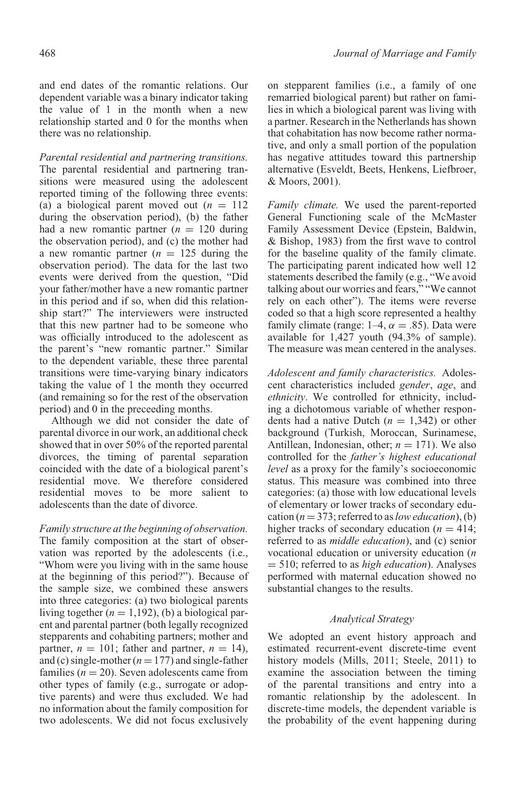and end dates of the romantic relations. Our dependent variable was a binary indicator taking the value of 1 in the month when a new relationship started and 0 for the months when there was no relationship.

*Parental residential and partnering transitions.* The parental residential and partnering transitions were measured using the adolescent reported timing of the following three events: (a) a biological parent moved out  $(n = 112)$ during the observation period), (b) the father had a new romantic partner  $(n = 120)$  during the observation period), and (c) the mother had a new romantic partner  $(n = 125$  during the observation period). The data for the last two events were derived from the question, "Did your father/mother have a new romantic partner in this period and if so, when did this relationship start?" The interviewers were instructed that this new partner had to be someone who was officially introduced to the adolescent as the parent's "new romantic partner." Similar to the dependent variable, these three parental transitions were time-varying binary indicators taking the value of 1 the month they occurred (and remaining so for the rest of the observation period) and 0 in the preceeding months.

Although we did not consider the date of parental divorce in our work, an additional check showed that in over 50% of the reported parental divorces, the timing of parental separation coincided with the date of a biological parent's residential move. We therefore considered residential moves to be more salient to adolescents than the date of divorce.

*Family structure at the beginning of observation.* The family composition at the start of observation was reported by the adolescents (i.e., "Whom were you living with in the same house at the beginning of this period?"). Because of the sample size, we combined these answers into three categories: (a) two biological parents living together  $(n = 1,192)$ , (b) a biological parent and parental partner (both legally recognized stepparents and cohabiting partners; mother and partner,  $n = 101$ ; father and partner,  $n = 14$ ), and (c) single-mother  $(n = 177)$  and single-father families  $(n = 20)$ . Seven adolescents came from other types of family (e.g., surrogate or adoptive parents) and were thus excluded. We had no information about the family composition for two adolescents. We did not focus exclusively

on stepparent families (i.e., a family of one remarried biological parent) but rather on families in which a biological parent was living with a partner. Research in the Netherlands has shown that cohabitation has now become rather normative, and only a small portion of the population has negative attitudes toward this partnership alternative (Esveldt, Beets, Henkens, Liefbroer, & Moors, 2001).

*Family climate.* We used the parent-reported General Functioning scale of the McMaster Family Assessment Device (Epstein, Baldwin, & Bishop, 1983) from the first wave to control for the baseline quality of the family climate. The participating parent indicated how well 12 statements described the family (e.g., "We avoid talking about our worries and fears," "We cannot rely on each other"). The items were reverse coded so that a high score represented a healthy family climate (range:  $1-4$ ,  $\alpha = .85$ ). Data were available for 1,427 youth (94.3% of sample). The measure was mean centered in the analyses.

*Adolescent and family characteristics.* Adolescent characteristics included *gender*, *age*, and *ethnicity*. We controlled for ethnicity, including a dichotomous variable of whether respondents had a native Dutch  $(n = 1,342)$  or other background (Turkish, Moroccan, Surinamese, Antillean, Indonesian, other;  $n = 171$ ). We also controlled for the *father's highest educational level* as a proxy for the family's socioeconomic status. This measure was combined into three categories: (a) those with low educational levels of elementary or lower tracks of secondary education ( $n = 373$ ; referred to as *low education*), (b) higher tracks of secondary education ( $n = 414$ ; referred to as *middle education*), and (c) senior vocational education or university education (*n* = 510; referred to as *high education*). Analyses performed with maternal education showed no substantial changes to the results.

## *Analytical Strategy*

We adopted an event history approach and estimated recurrent-event discrete-time event history models (Mills, 2011; Steele, 2011) to examine the association between the timing of the parental transitions and entry into a romantic relationship by the adolescent. In discrete-time models, the dependent variable is the probability of the event happening during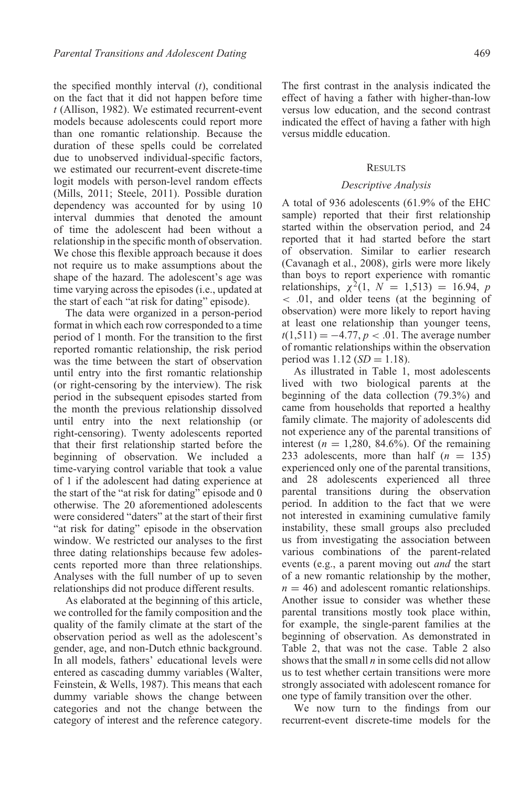the specified monthly interval (*t*), conditional on the fact that it did not happen before time *t* (Allison, 1982). We estimated recurrent-event models because adolescents could report more than one romantic relationship. Because the duration of these spells could be correlated due to unobserved individual-specific factors, we estimated our recurrent-event discrete-time logit models with person-level random effects (Mills, 2011; Steele, 2011). Possible duration dependency was accounted for by using 10 interval dummies that denoted the amount of time the adolescent had been without a relationship in the specific month of observation. We chose this flexible approach because it does not require us to make assumptions about the shape of the hazard. The adolescent's age was time varying across the episodes (i.e., updated at the start of each "at risk for dating" episode).

The data were organized in a person-period format in which each row corresponded to a time period of 1 month. For the transition to the first reported romantic relationship, the risk period was the time between the start of observation until entry into the first romantic relationship (or right-censoring by the interview). The risk period in the subsequent episodes started from the month the previous relationship dissolved until entry into the next relationship (or right-censoring). Twenty adolescents reported that their first relationship started before the beginning of observation. We included a time-varying control variable that took a value of 1 if the adolescent had dating experience at the start of the "at risk for dating" episode and 0 otherwise. The 20 aforementioned adolescents were considered "daters" at the start of their first "at risk for dating" episode in the observation window. We restricted our analyses to the first three dating relationships because few adolescents reported more than three relationships. Analyses with the full number of up to seven relationships did not produce different results.

As elaborated at the beginning of this article, we controlled for the family composition and the quality of the family climate at the start of the observation period as well as the adolescent's gender, age, and non-Dutch ethnic background. In all models, fathers' educational levels were entered as cascading dummy variables (Walter, Feinstein, & Wells, 1987). This means that each dummy variable shows the change between categories and not the change between the category of interest and the reference category. The first contrast in the analysis indicated the effect of having a father with higher-than-low versus low education, and the second contrast indicated the effect of having a father with high versus middle education.

#### RESULTS

#### *Descriptive Analysis*

A total of 936 adolescents (61.9% of the EHC sample) reported that their first relationship started within the observation period, and 24 reported that it had started before the start of observation. Similar to earlier research (Cavanagh et al., 2008), girls were more likely than boys to report experience with romantic relationships,  $\chi^2(1, N = 1,513) = 16.94$ , *p <* .01, and older teens (at the beginning of observation) were more likely to report having at least one relationship than younger teens,  $t(1,511) = -4.77, p < .01$ . The average number of romantic relationships within the observation period was  $1.12$  (*SD* = 1.18).

As illustrated in Table 1, most adolescents lived with two biological parents at the beginning of the data collection (79.3%) and came from households that reported a healthy family climate. The majority of adolescents did not experience any of the parental transitions of interest  $(n = 1,280, 84.6\%)$ . Of the remaining 233 adolescents, more than half  $(n = 135)$ experienced only one of the parental transitions, and 28 adolescents experienced all three parental transitions during the observation period. In addition to the fact that we were not interested in examining cumulative family instability, these small groups also precluded us from investigating the association between various combinations of the parent-related events (e.g., a parent moving out *and* the start of a new romantic relationship by the mother,  $n = 46$ ) and adolescent romantic relationships. Another issue to consider was whether these parental transitions mostly took place within, for example, the single-parent families at the beginning of observation. As demonstrated in Table 2, that was not the case. Table 2 also shows that the small *n* in some cells did not allow us to test whether certain transitions were more strongly associated with adolescent romance for one type of family transition over the other.

We now turn to the findings from our recurrent-event discrete-time models for the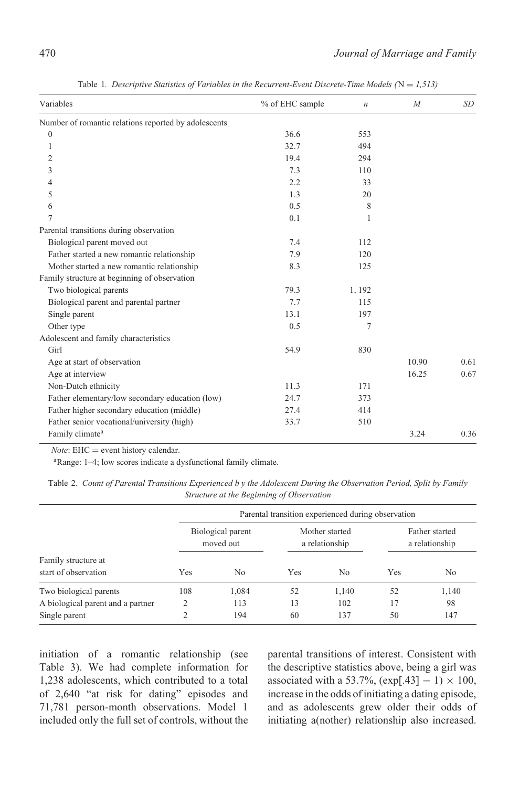| Variables                                            | % of EHC sample | $\boldsymbol{n}$ | $\boldsymbol{M}$ | <b>SD</b> |
|------------------------------------------------------|-----------------|------------------|------------------|-----------|
| Number of romantic relations reported by adolescents |                 |                  |                  |           |
| $\Omega$                                             | 36.6            | 553              |                  |           |
| 1                                                    | 32.7            | 494              |                  |           |
| 2                                                    | 19.4            | 294              |                  |           |
| 3                                                    | 7.3             | 110              |                  |           |
| 4                                                    | 2.2             | 33               |                  |           |
| 5                                                    | 1.3             | 20               |                  |           |
| 6                                                    | 0.5             | 8                |                  |           |
| 7                                                    | 0.1             | 1                |                  |           |
| Parental transitions during observation              |                 |                  |                  |           |
| Biological parent moved out                          | 7.4             | 112              |                  |           |
| Father started a new romantic relationship           | 7.9             | 120              |                  |           |
| Mother started a new romantic relationship           | 8.3             | 125              |                  |           |
| Family structure at beginning of observation         |                 |                  |                  |           |
| Two biological parents                               | 79.3            | 1, 192           |                  |           |
| Biological parent and parental partner               | 7.7             | 115              |                  |           |
| Single parent                                        | 13.1            | 197              |                  |           |
| Other type                                           | 0.5             | 7                |                  |           |
| Adolescent and family characteristics                |                 |                  |                  |           |
| Girl                                                 | 54.9            | 830              |                  |           |
| Age at start of observation                          |                 |                  | 10.90            | 0.61      |
| Age at interview                                     |                 |                  | 16.25            | 0.67      |
| Non-Dutch ethnicity                                  | 11.3            | 171              |                  |           |
| Father elementary/low secondary education (low)      | 24.7            | 373              |                  |           |
| Father higher secondary education (middle)           | 27.4            | 414              |                  |           |
| Father senior vocational/university (high)           | 33.7            | 510              |                  |           |
| Family climate <sup>a</sup>                          |                 |                  | 3.24             | 0.36      |

Table 1*. Descriptive Statistics of Variables in the Recurrent-Event Discrete-Time Models (*N = *1,513)*

*Note*: EHC = event history calendar.

aRange: 1–4; low scores indicate a dysfunctional family climate.

| Table 2. Count of Parental Transitions Experienced b y the Adolescent During the Observation Period, Split by Family |  |
|----------------------------------------------------------------------------------------------------------------------|--|
| Structure at the Beginning of Observation                                                                            |  |

|                                                    |        | Parental transition experienced during observation |          |                                  |                                  |                |  |  |  |  |
|----------------------------------------------------|--------|----------------------------------------------------|----------|----------------------------------|----------------------------------|----------------|--|--|--|--|
|                                                    |        | Biological parent<br>moved out                     |          | Mother started<br>a relationship | Father started<br>a relationship |                |  |  |  |  |
| Family structure at<br>start of observation        | Yes    | No                                                 | Yes      | N <sub>0</sub>                   | <b>Yes</b>                       | N <sub>0</sub> |  |  |  |  |
| Two biological parents                             | 108    | 1,084                                              | 52       | 1,140                            | 52                               | 1,140          |  |  |  |  |
| A biological parent and a partner<br>Single parent | 2<br>2 | 113<br>194                                         | 13<br>60 | 102<br>137                       | 17<br>50                         | 98<br>147      |  |  |  |  |

initiation of a romantic relationship (see Table 3). We had complete information for 1,238 adolescents, which contributed to a total of 2,640 "at risk for dating" episodes and 71,781 person-month observations. Model 1 included only the full set of controls, without the

parental transitions of interest. Consistent with the descriptive statistics above, being a girl was associated with a 53.7%,  $(\exp[.43] - 1) \times 100$ , increase in the odds of initiating a dating episode, and as adolescents grew older their odds of initiating a(nother) relationship also increased.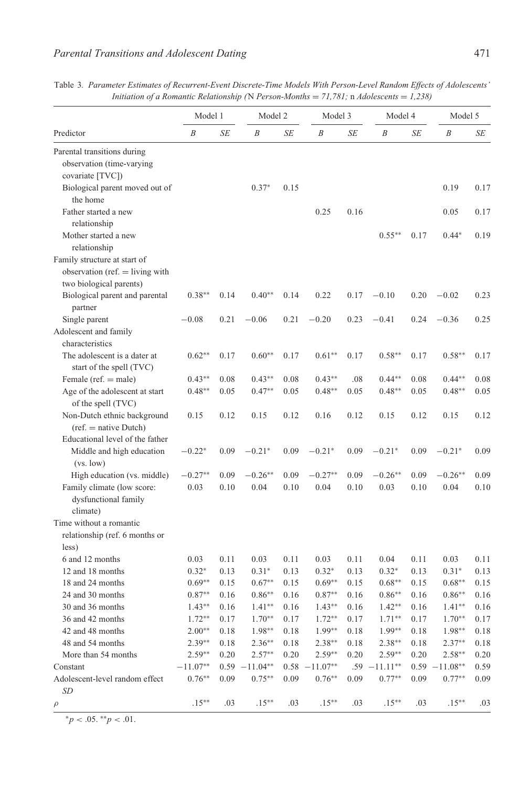|                                                                | Model 1           |          | Model 2         |      | Model 3          |      | Model 4          |      | Model 5         |      |
|----------------------------------------------------------------|-------------------|----------|-----------------|------|------------------|------|------------------|------|-----------------|------|
| Predictor                                                      | $\boldsymbol{B}$  | SE       | B               | SE   | $\boldsymbol{B}$ | SE   | $\boldsymbol{B}$ | SE   | $\cal B$        | SE   |
| Parental transitions during                                    |                   |          |                 |      |                  |      |                  |      |                 |      |
| observation (time-varying                                      |                   |          |                 |      |                  |      |                  |      |                 |      |
| covariate [TVC])                                               |                   |          |                 |      |                  |      |                  |      |                 |      |
| Biological parent moved out of<br>the home                     |                   |          | $0.37*$         | 0.15 |                  |      |                  |      | 0.19            | 0.17 |
| Father started a new<br>relationship                           |                   |          |                 |      | 0.25             | 0.16 |                  |      | 0.05            | 0.17 |
| Mother started a new<br>relationship                           |                   |          |                 |      |                  |      | $0.55***$        | 0.17 | $0.44*$         | 0.19 |
| Family structure at start of                                   |                   |          |                 |      |                  |      |                  |      |                 |      |
| observation (ref. $=$ living with<br>two biological parents)   |                   |          |                 |      |                  |      |                  |      |                 |      |
| Biological parent and parental<br>partner                      | $0.38**$          | 0.14     | $0.40**$        | 0.14 | 0.22             | 0.17 | $-0.10$          | 0.20 | $-0.02$         | 0.23 |
| Single parent                                                  | $-0.08$           | 0.21     | $-0.06$         | 0.21 | $-0.20$          | 0.23 | $-0.41$          | 0.24 | $-0.36$         | 0.25 |
| Adolescent and family<br>characteristics                       |                   |          |                 |      |                  |      |                  |      |                 |      |
| The adolescent is a dater at<br>start of the spell (TVC)       | $0.62**$          | 0.17     | $0.60**$        | 0.17 | $0.61**$         | 0.17 | $0.58**$         | 0.17 | $0.58**$        | 0.17 |
| Female (ref. $=$ male)                                         | $0.43**$          | 0.08     | $0.43**$        | 0.08 | $0.43**$         | .08  | $0.44**$         | 0.08 | $0.44**$        | 0.08 |
| Age of the adolescent at start                                 | $0.48**$          | 0.05     | $0.47**$        | 0.05 | $0.48**$         | 0.05 | $0.48**$         | 0.05 | $0.48**$        | 0.05 |
| of the spell (TVC)                                             |                   |          |                 |      |                  |      |                  |      |                 |      |
| Non-Dutch ethnic background<br>$ref. = native Dutch)$          | 0.15              | 0.12     | 0.15            | 0.12 | 0.16             | 0.12 | 0.15             | 0.12 | 0.15            | 0.12 |
| Educational level of the father                                |                   |          |                 |      |                  |      |                  |      |                 |      |
| Middle and high education<br>(vs. low)                         | $-0.22*$          | 0.09     | $-0.21*$        | 0.09 | $-0.21*$         | 0.09 | $-0.21*$         | 0.09 | $-0.21*$        | 0.09 |
| High education (vs. middle)                                    | $-0.27**$         | 0.09     | $-0.26**$       | 0.09 | $-0.27**$        | 0.09 | $-0.26**$        | 0.09 | $-0.26**$       | 0.09 |
| Family climate (low score:<br>dysfunctional family<br>climate) | 0.03              | 0.10     | 0.04            | 0.10 | 0.04             | 0.10 | 0.03             | 0.10 | 0.04            | 0.10 |
| Time without a romantic                                        |                   |          |                 |      |                  |      |                  |      |                 |      |
| relationship (ref. 6 months or<br>less)                        |                   |          |                 |      |                  |      |                  |      |                 |      |
| 6 and 12 months                                                | 0.03              | 0.11     | 0.03            | 0.11 | 0.03             | 0.11 | 0.04             | 0.11 | 0.03            | 0.11 |
| 12 and 18 months                                               | $0.32*$           | 0.13     | $0.31*$         | 0.13 | $0.32*$          | 0.13 | $0.32*$          | 0.13 | $0.31*$         | 0.13 |
| 18 and 24 months                                               | $0.69**$          | 0.15     | $0.67**$        | 0.15 | $0.69**$         | 0.15 | $0.68**$         | 0.15 | $0.68**$        | 0.15 |
| 24 and 30 months                                               | $0.87^{\ast\ast}$ | $0.16\,$ | $0.86**$        | 0.16 | $0.87**$         | 0.16 | $0.86**$         | 0.16 | $0.86**$        | 0.16 |
| 30 and 36 months                                               | $1.43**$          | 0.16     | $1.41**$        | 0.16 | $1.43**$         | 0.16 | $1.42**$         | 0.16 | $1.41**$        | 0.16 |
| 36 and 42 months                                               | $1.72**$          | 0.17     | $1.70**$        | 0.17 | 1.72**           | 0.17 | $1.71**$         | 0.17 | $1.70**$        | 0.17 |
| 42 and 48 months                                               | $2.00**$          | 0.18     | 1.98**          | 0.18 | 1.99**           | 0.18 | 1.99**           | 0.18 | 1.98**          | 0.18 |
| 48 and 54 months                                               | $2.39**$          | 0.18     | $2.36**$        | 0.18 | $2.38**$         | 0.18 | $2.38**$         | 0.18 | $2.37**$        | 0.18 |
| More than 54 months                                            | $2.59**$          | 0.20     | $2.57**$        | 0.20 | $2.59**$         | 0.20 | $2.59**$         | 0.20 | $2.58**$        | 0.20 |
| Constant                                                       | $-11.07**$        |          | $0.59 -11.04**$ |      | $0.58 - 11.07**$ |      | $.59 - 11.11**$  |      | $0.59 -11.08**$ | 0.59 |
| Adolescent-level random effect<br>SD                           | $0.76**$          | 0.09     | $0.75**$        | 0.09 | $0.76**$         | 0.09 | $0.77**$         | 0.09 | $0.77**$        | 0.09 |
| $\rho$                                                         | $.15***$          | .03      | $.15***$        | .03  | $.15***$         | .03  | $.15***$         | .03  | $.15**$         | .03  |

Table 3*. Parameter Estimates of Recurrent-Event Discrete-Time Models With Person-Level Random Effects of Adolescents' Initiation of a Romantic Relationship (*N *Person-Months* = *71,781;* n *Adolescents* = *1,238)*

 $**p* < .05. ***p* < .01.$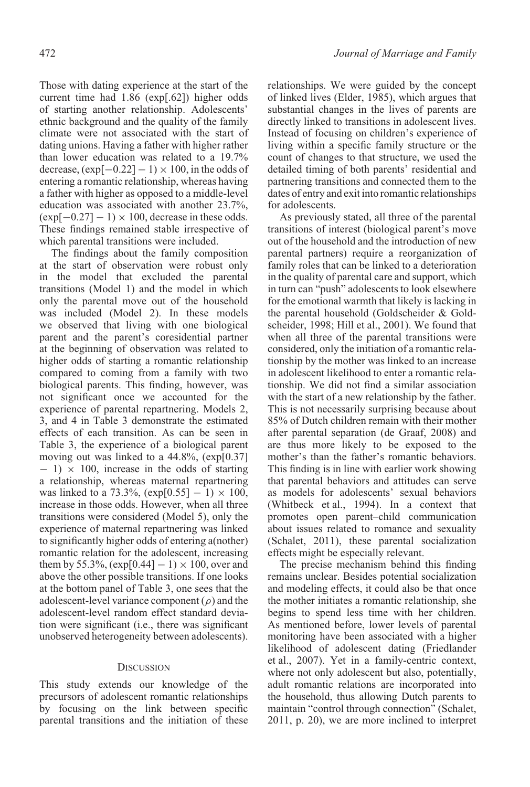Those with dating experience at the start of the current time had 1.86 (exp[.62]) higher odds of starting another relationship. Adolescents' ethnic background and the quality of the family climate were not associated with the start of dating unions. Having a father with higher rather than lower education was related to a 19.7% decrease,  $(\exp[-0.22] - 1) \times 100$ , in the odds of entering a romantic relationship, whereas having a father with higher as opposed to a middle-level education was associated with another 23.7%,  $(\exp[-0.27] - 1) \times 100$ , decrease in these odds. These findings remained stable irrespective of which parental transitions were included.

The findings about the family composition at the start of observation were robust only in the model that excluded the parental transitions (Model 1) and the model in which only the parental move out of the household was included (Model 2). In these models we observed that living with one biological parent and the parent's coresidential partner at the beginning of observation was related to higher odds of starting a romantic relationship compared to coming from a family with two biological parents. This finding, however, was not significant once we accounted for the experience of parental repartnering. Models 2, 3, and 4 in Table 3 demonstrate the estimated effects of each transition. As can be seen in Table 3, the experience of a biological parent moving out was linked to a 44.8%, (exp[0.37]  $-1$ ) × 100, increase in the odds of starting a relationship, whereas maternal repartnering was linked to a 73.3%,  $(\exp[0.55] - 1) \times 100$ , increase in those odds. However, when all three transitions were considered (Model 5), only the experience of maternal repartnering was linked to significantly higher odds of entering a(nother) romantic relation for the adolescent, increasing them by 55.3%,  $(\exp[0.44] - 1) \times 100$ , over and above the other possible transitions. If one looks at the bottom panel of Table 3, one sees that the adolescent-level variance component (*ρ*) and the adolescent-level random effect standard deviation were significant (i.e., there was significant unobserved heterogeneity between adolescents).

## **DISCUSSION**

This study extends our knowledge of the precursors of adolescent romantic relationships by focusing on the link between specific parental transitions and the initiation of these relationships. We were guided by the concept of linked lives (Elder, 1985), which argues that substantial changes in the lives of parents are directly linked to transitions in adolescent lives. Instead of focusing on children's experience of living within a specific family structure or the count of changes to that structure, we used the detailed timing of both parents' residential and partnering transitions and connected them to the dates of entry and exit into romantic relationships for adolescents.

As previously stated, all three of the parental transitions of interest (biological parent's move out of the household and the introduction of new parental partners) require a reorganization of family roles that can be linked to a deterioration in the quality of parental care and support, which in turn can "push" adolescents to look elsewhere for the emotional warmth that likely is lacking in the parental household (Goldscheider & Goldscheider, 1998; Hill et al., 2001). We found that when all three of the parental transitions were considered, only the initiation of a romantic relationship by the mother was linked to an increase in adolescent likelihood to enter a romantic relationship. We did not find a similar association with the start of a new relationship by the father. This is not necessarily surprising because about 85% of Dutch children remain with their mother after parental separation (de Graaf, 2008) and are thus more likely to be exposed to the mother's than the father's romantic behaviors. This finding is in line with earlier work showing that parental behaviors and attitudes can serve as models for adolescents' sexual behaviors (Whitbeck et al., 1994). In a context that promotes open parent–child communication about issues related to romance and sexuality (Schalet, 2011), these parental socialization effects might be especially relevant.

The precise mechanism behind this finding remains unclear. Besides potential socialization and modeling effects, it could also be that once the mother initiates a romantic relationship, she begins to spend less time with her children. As mentioned before, lower levels of parental monitoring have been associated with a higher likelihood of adolescent dating (Friedlander et al., 2007). Yet in a family-centric context, where not only adolescent but also, potentially, adult romantic relations are incorporated into the household, thus allowing Dutch parents to maintain "control through connection" (Schalet, 2011, p. 20), we are more inclined to interpret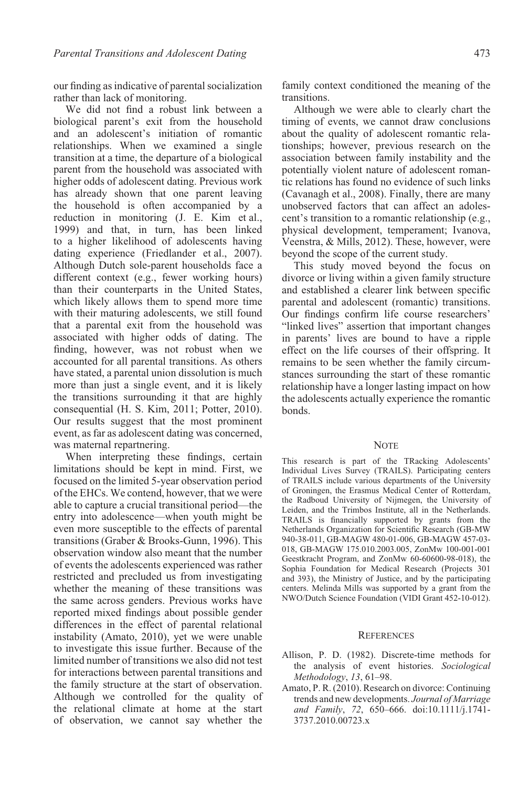our finding as indicative of parental socialization rather than lack of monitoring.

We did not find a robust link between a biological parent's exit from the household and an adolescent's initiation of romantic relationships. When we examined a single transition at a time, the departure of a biological parent from the household was associated with higher odds of adolescent dating. Previous work has already shown that one parent leaving the household is often accompanied by a reduction in monitoring (J. E. Kim et al., 1999) and that, in turn, has been linked to a higher likelihood of adolescents having dating experience (Friedlander et al., 2007). Although Dutch sole-parent households face a different context (e.g., fewer working hours) than their counterparts in the United States, which likely allows them to spend more time with their maturing adolescents, we still found that a parental exit from the household was associated with higher odds of dating. The finding, however, was not robust when we accounted for all parental transitions. As others have stated, a parental union dissolution is much more than just a single event, and it is likely the transitions surrounding it that are highly consequential (H. S. Kim, 2011; Potter, 2010). Our results suggest that the most prominent event, as far as adolescent dating was concerned, was maternal repartnering.

When interpreting these findings, certain limitations should be kept in mind. First, we focused on the limited 5-year observation period of the EHCs. We contend, however, that we were able to capture a crucial transitional period—the entry into adolescence—when youth might be even more susceptible to the effects of parental transitions (Graber & Brooks-Gunn, 1996). This observation window also meant that the number of events the adolescents experienced was rather restricted and precluded us from investigating whether the meaning of these transitions was the same across genders. Previous works have reported mixed findings about possible gender differences in the effect of parental relational instability (Amato, 2010), yet we were unable to investigate this issue further. Because of the limited number of transitions we also did not test for interactions between parental transitions and the family structure at the start of observation. Although we controlled for the quality of the relational climate at home at the start of observation, we cannot say whether the

family context conditioned the meaning of the transitions.

Although we were able to clearly chart the timing of events, we cannot draw conclusions about the quality of adolescent romantic relationships; however, previous research on the association between family instability and the potentially violent nature of adolescent romantic relations has found no evidence of such links (Cavanagh et al., 2008). Finally, there are many unobserved factors that can affect an adolescent's transition to a romantic relationship (e.g., physical development, temperament; Ivanova, Veenstra, & Mills, 2012). These, however, were beyond the scope of the current study.

This study moved beyond the focus on divorce or living within a given family structure and established a clearer link between specific parental and adolescent (romantic) transitions. Our findings confirm life course researchers' "linked lives" assertion that important changes in parents' lives are bound to have a ripple effect on the life courses of their offspring. It remains to be seen whether the family circumstances surrounding the start of these romantic relationship have a longer lasting impact on how the adolescents actually experience the romantic bonds.

#### **NOTE**

This research is part of the TRacking Adolescents' Individual Lives Survey (TRAILS). Participating centers of TRAILS include various departments of the University of Groningen, the Erasmus Medical Center of Rotterdam, the Radboud University of Nijmegen, the University of Leiden, and the Trimbos Institute, all in the Netherlands. TRAILS is financially supported by grants from the Netherlands Organization for Scientific Research (GB-MW 940-38-011, GB-MAGW 480-01-006, GB-MAGW 457-03- 018, GB-MAGW 175.010.2003.005, ZonMw 100-001-001 Geestkracht Program, and ZonMw 60-60600-98-018), the Sophia Foundation for Medical Research (Projects 301 and 393), the Ministry of Justice, and by the participating centers. Melinda Mills was supported by a grant from the NWO/Dutch Science Foundation (VIDI Grant 452-10-012).

#### **REFERENCES**

- Allison, P. D. (1982). Discrete-time methods for the analysis of event histories. *Sociological Methodology*, *13*, 61–98.
- Amato, P. R. (2010). Research on divorce: Continuing trends and new developments. *Journal of Marriage and Family*, *72*, 650–666. doi:10.1111/j.1741- 3737.2010.00723.x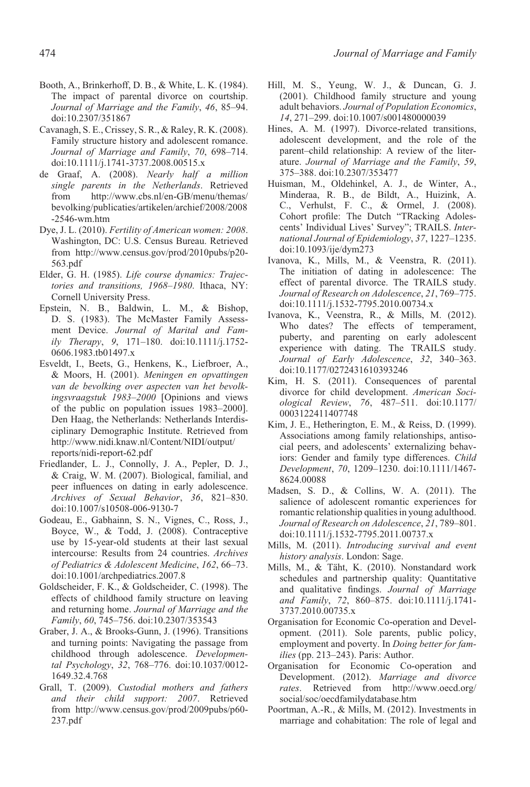- Booth, A., Brinkerhoff, D. B., & White, L. K. (1984). The impact of parental divorce on courtship. *Journal of Marriage and the Family*, *46*, 85–94. doi:10.2307/351867
- Cavanagh, S. E., Crissey, S. R., & Raley, R. K. (2008). Family structure history and adolescent romance. *Journal of Marriage and Family*, *70*, 698–714. doi:10.1111/j.1741-3737.2008.00515.x
- de Graaf, A. (2008). *Nearly half a million single parents in the Netherlands*. Retrieved from http://www.cbs.nl/en-GB/menu/themas/ bevolking/publicaties/artikelen/archief/2008/2008 -2546-wm.htm
- Dye, J. L. (2010). *Fertility of American women: 2008*. Washington, DC: U.S. Census Bureau. Retrieved from http://www.census.gov/prod/2010pubs/p20- 563.pdf
- Elder, G. H. (1985). *Life course dynamics: Trajectories and transitions, 1968–1980*. Ithaca, NY: Cornell University Press.
- Epstein, N. B., Baldwin, L. M., & Bishop, D. S. (1983). The McMaster Family Assessment Device. *Journal of Marital and Family Therapy*, *9*, 171–180. doi:10.1111/j.1752- 0606.1983.tb01497.x
- Esveldt, I., Beets, G., Henkens, K., Liefbroer, A., & Moors, H. (2001). *Meningen en opvattingen van de bevolking over aspecten van het bevolkingsvraagstuk 1983–2000* [Opinions and views of the public on population issues 1983–2000]. Den Haag, the Netherlands: Netherlands Interdisciplinary Demographic Institute. Retrieved from http://www.nidi.knaw.nl/Content/NIDI/output/ reports/nidi-report-62.pdf
- Friedlander, L. J., Connolly, J. A., Pepler, D. J., & Craig, W. M. (2007). Biological, familial, and peer influences on dating in early adolescence. *Archives of Sexual Behavior*, *36*, 821–830. doi:10.1007/s10508-006-9130-7
- Godeau, E., Gabhainn, S. N., Vignes, C., Ross, J., Boyce, W., & Todd, J. (2008). Contraceptive use by 15-year-old students at their last sexual intercourse: Results from 24 countries. *Archives of Pediatrics & Adolescent Medicine*, *162*, 66–73. doi:10.1001/archpediatrics.2007.8
- Goldscheider, F. K., & Goldscheider, C. (1998). The effects of childhood family structure on leaving and returning home. *Journal of Marriage and the Family*, *60*, 745–756. doi:10.2307/353543
- Graber, J. A., & Brooks-Gunn, J. (1996). Transitions and turning points: Navigating the passage from childhood through adolescence. *Developmental Psychology*, *32*, 768–776. doi:10.1037/0012- 1649.32.4.768
- Grall, T. (2009). *Custodial mothers and fathers and their child support: 2007*. Retrieved from http://www.census.gov/prod/2009pubs/p60- 237.pdf
- Hill, M. S., Yeung, W. J., & Duncan, G. J. (2001). Childhood family structure and young adult behaviors. *Journal of Population Economics*, *14*, 271–299. doi:10.1007/s001480000039
- Hines, A. M. (1997). Divorce-related transitions, adolescent development, and the role of the parent–child relationship: A review of the literature. *Journal of Marriage and the Family*, *59*, 375–388. doi:10.2307/353477
- Huisman, M., Oldehinkel, A. J., de Winter, A., Minderaa, R. B., de Bildt, A., Huizink, A. C., Verhulst, F. C., & Ormel, J. (2008). Cohort profile: The Dutch "TRacking Adolescents' Individual Lives' Survey"; TRAILS. *International Journal of Epidemiology*, *37*, 1227–1235. doi:10.1093/ije/dym273
- Ivanova, K., Mills, M., & Veenstra, R. (2011). The initiation of dating in adolescence: The effect of parental divorce. The TRAILS study. *Journal of Research on Adolescence*, *21*, 769–775. doi:10.1111/j.1532-7795.2010.00734.x
- Ivanova, K., Veenstra, R., & Mills, M. (2012). Who dates? The effects of temperament, puberty, and parenting on early adolescent experience with dating. The TRAILS study. *Journal of Early Adolescence*, *32*, 340–363. doi:10.1177/0272431610393246
- Kim, H. S. (2011). Consequences of parental divorce for child development. *American Sociological Review*, *76*, 487–511. doi:10.1177/ 0003122411407748
- Kim, J. E., Hetherington, E. M., & Reiss, D. (1999). Associations among family relationships, antisocial peers, and adolescents' externalizing behaviors: Gender and family type differences. *Child Development*, *70*, 1209–1230. doi:10.1111/1467- 8624.00088
- Madsen, S. D., & Collins, W. A. (2011). The salience of adolescent romantic experiences for romantic relationship qualities in young adulthood. *Journal of Research on Adolescence*, *21*, 789–801. doi:10.1111/j.1532-7795.2011.00737.x
- Mills, M. (2011). *Introducing survival and event history analysis*. London: Sage.
- Mills, M., & Täht, K. (2010). Nonstandard work schedules and partnership quality: Quantitative and qualitative findings. *Journal of Marriage and Family*, *72*, 860–875. doi:10.1111/j.1741- 3737.2010.00735.x
- Organisation for Economic Co-operation and Development. (2011). Sole parents, public policy, employment and poverty. In *Doing better for families* (pp. 213–243). Paris: Author.
- Organisation for Economic Co-operation and Development. (2012). *Marriage and divorce rates*. Retrieved from http://www.oecd.org/ social/soc/oecdfamilydatabase.htm
- Poortman, A.-R., & Mills, M. (2012). Investments in marriage and cohabitation: The role of legal and